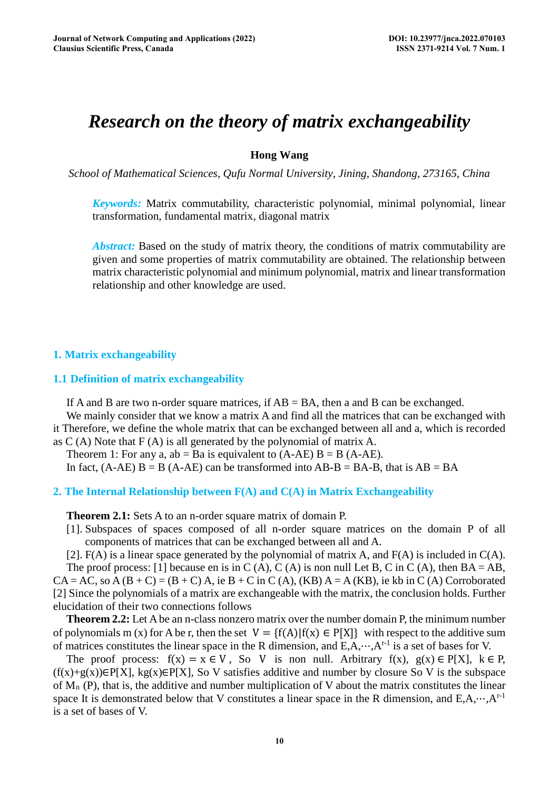# *Research on the theory of matrix exchangeability*

# **Hong Wang**

*School of Mathematical Sciences, Qufu Normal University, Jining, Shandong, 273165, China* 

*Keywords:* Matrix commutability, [characteristic](javascript:;) [polynomial,](javascript:;) [minimal](javascript:;) [polynomial,](javascript:;) [linear](javascript:;) [transformation, fundamental](javascript:;) [matrix, diagonal](javascript:;) [matrix](javascript:;)

*Abstract:* Based on the study of matrix theory, the conditions of matrix commutability are given and some properties of matrix commutability are obtained. The relationship between matrix characteristic polynomial and minimum polynomial, matrix and linear transformation relationship and other knowledge are used.

#### **1. Matrix exchangeability**

#### **1.1 Definition of matrix exchangeability**

If A and B are two n-order square matrices, if  $AB = BA$ , then a and B can be exchanged. We mainly consider that we know a matrix A and find all the matrices that can be exchanged with it Therefore, we define the whole matrix that can be exchanged between all and a, which is recorded

as  $C(A)$  Note that  $F(A)$  is all generated by the polynomial of matrix A.

Theorem 1: For any a,  $ab = Ba$  is equivalent to  $(A-AE)$   $B = B$   $(A-AE)$ .

In fact,  $(A-AE)$  B = B  $(A-AE)$  can be transformed into  $AB-B = BA$ , that is  $AB = BA$ 

### **2. The Internal Relationship between F(A) and C(A) in Matrix Exchangeability**

**Theorem 2.1:** Sets A to an n-order square matrix of domain P.

[1]. Subspaces of spaces composed of all n-order square matrices on the domain P of all components of matrices that can be exchanged between all and A.

[2].  $F(A)$  is a linear space generated by the polynomial of matrix A, and  $F(A)$  is included in  $C(A)$ .

The proof process: [1] because en is in C (A), C (A) is non null Let B, C in C (A), then  $BA = AB$ ,  $CA = AC$ , so A  $(B + C) = (B + C)$  A, ie B + C in C  $(A)$ ,  $(KB)$  A = A  $(KB)$ , ie kb in C  $(A)$  Corroborated [2] Since the polynomials of a matrix are exchangeable with the matrix, the conclusion holds. Further elucidation of their two connections follows

**Theorem 2.2:** Let A be an n-class nonzero matrix over the number domain P, the minimum number of polynomials m (x) for A be r, then the set  $V = \{f(A)| f(x) \in P[X]\}$  with respect to the additive sum of matrices constitutes the linear space in the R dimension, and  $E, A, \dots, A^{r-1}$  is a set of bases for V.

The proof process:  $f(x) = x \in V$ , So V is non null. Arbitrary  $f(x)$ ,  $g(x) \in P[X]$ ,  $k \in P$ ,  $(f(x)+g(x))\in P[X]$ , kg(x)∈P[X], So V satisfies additive and number by closure So V is the subspace of  $M_n$  (P), that is, the additive and number multiplication of V about the matrix constitutes the linear space It is demonstrated below that V constitutes a linear space in the R dimension, and  $E, A, \dots, A^{r-1}$ is a set of bases of V.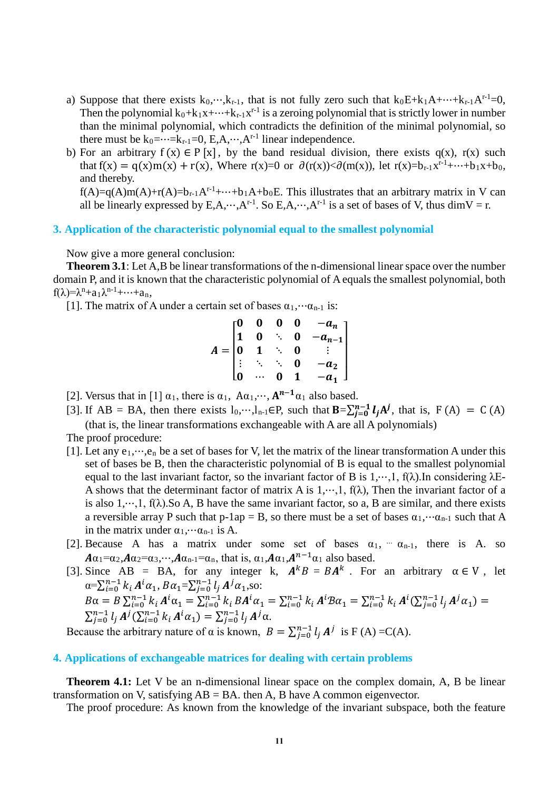- a) Suppose that there exists  $k_0$ ,…, $k_{r-1}$ , that is not fully zero such that  $k_0E+k_1A+\cdots+k_{r-1}A^{r-1}=0$ , Then the polynomial  $k_0+k_1x+\cdots+k_{r-1}x^{r-1}$  is a zeroing polynomial that is strictly lower in number than the minimal polynomial, which contradicts the definition of the minimal polynomial, so there must be  $k_0 = \cdots = k_{r-1} = 0$ , E.A, $\cdots$ , A<sup>r-1</sup> linear independence.
- b) For an arbitrary  $f(x) \in P[x]$ , by the band residual division, there exists  $q(x)$ ,  $r(x)$  such that  $f(x) = q(x)m(x) + r(x)$ , Where  $r(x)=0$  or  $\partial(r(x)) < \partial(m(x))$ , let  $r(x)=b_{r-1}x^{r-1}+\cdots+b_1x+b_0$ , and thereby.

 $f(A)=g(A)m(A)+r(A)=b_{r-1}A^{r-1}+\cdots+b_1A+b_0E$ . This illustrates that an arbitrary matrix in V can all be linearly expressed by E,A,…,A<sup>r-1</sup>. So E,A,…,A<sup>r-1</sup> is a set of bases of V, thus dimV = r.

#### **3. Application of the characteristic polynomial equal to the smallest polynomial**

Now give a more general conclusion:

**Theorem 3.1**: Let A,B be linear transformations of the n-dimensional linear space over the number domain P, and it is known that the characteristic polynomial of A equals the smallest polynomial, both  $f(\lambda) = \lambda^{n} + a_1 \lambda^{n-1} + \cdots + a_n$ 

[1]. The matrix of A under a certain set of bases  $\alpha_1, \dots \alpha_{n-1}$  is:

$$
A = \begin{bmatrix} 0 & 0 & 0 & 0 & -a_n \\ 1 & 0 & \ddots & 0 & -a_{n-1} \\ 0 & 1 & \ddots & 0 & \vdots \\ \vdots & \ddots & \ddots & 0 & -a_2 \\ 0 & \cdots & 0 & 1 & -a_1 \end{bmatrix}
$$

- [2]. Versus that in [1]  $\alpha_1$ , there is  $\alpha_1$ ,  $A\alpha_1, \dots, A^{n-1}\alpha_1$  also based.
- [3]. If AB = BA, then there exists  $l_0, \dots, l_{n-1} \in P$ , such that  $\mathbf{B} = \sum_{i=0}^{n-1} l_i A^j$ , that is,  $F(A) = C(A)$ (that is, the linear transformations exchangeable with A are all A polynomials)

The proof procedure:

- [1]. Let any  $e_1, \dots, e_n$  be a set of bases for V, let the matrix of the linear transformation A under this set of bases be B, then the characteristic polynomial of B is equal to the smallest polynomial equal to the last invariant factor, so the invariant factor of B is  $1, ..., 1$ ,  $f(\lambda)$ . In considering  $\lambda E$ -A shows that the determinant factor of matrix A is  $1, \dots, 1$ ,  $f(\lambda)$ , Then the invariant factor of a is also  $1, \dots, 1$ ,  $f(\lambda)$ . So A, B have the same invariant factor, so a, B are similar, and there exists a reversible array P such that p-1ap = B, so there must be a set of bases  $\alpha_1, \dots, \alpha_{n-1}$  such that A in the matrix under  $\alpha_1, \cdots, \alpha_{n-1}$  is A.
- [2]. Because A has a matrix under some set of bases  $\alpha_1$ ,  $\alpha_{n-1}$ , there is A. so  $A\alpha_1=\alpha_2, A\alpha_2=\alpha_3, \cdots, A\alpha_{n-1}=\alpha_n$ , that is,  $\alpha_1, A\alpha_1, A^{n-1}\alpha_1$  also based.
- [3]. Since AB = BA, for any integer k,  $A^kB = BA^k$ . For an arbitrary  $\alpha \in V$ . let  $\alpha = \sum_{i=0}^{n-1} k_i A^i \alpha_1, B \alpha_1 = \sum_{j=0}^{n-1} l_j A^j \alpha_1$ , so:  $B\alpha = B\sum_{i=0}^{n-1} k_i A^i \alpha_1 = \sum_{i=0}^{n-1} k_i B A^i \alpha_1 = \sum_{i=0}^{n-1} k_i A^i B \alpha_1 = \sum_{i=0}^{n-1} k_i A^i (\sum_{j=0}^{n-1} l_j A^j \alpha_1) =$

 $\sum_{j=0}^{n-1} l_j A^j (\sum_{i=0}^{n-1} k_i A^i \alpha_1) = \sum_{j=0}^{n-1} l_j A^j \alpha.$ Because the arbitrary nature of  $\alpha$  is known,  $B = \sum_{j=0}^{n-1} l_j A^j$  is F(A)=C(A).

#### **4. Applications of exchangeable matrices for dealing with certain problems**

**Theorem 4.1:** Let V be an n-dimensional linear space on the complex domain, A, B be linear transformation on V, satisfying  $AB = BA$ , then A, B have A common eigenvector.

The proof procedure: As known from the knowledge of the invariant subspace, both the feature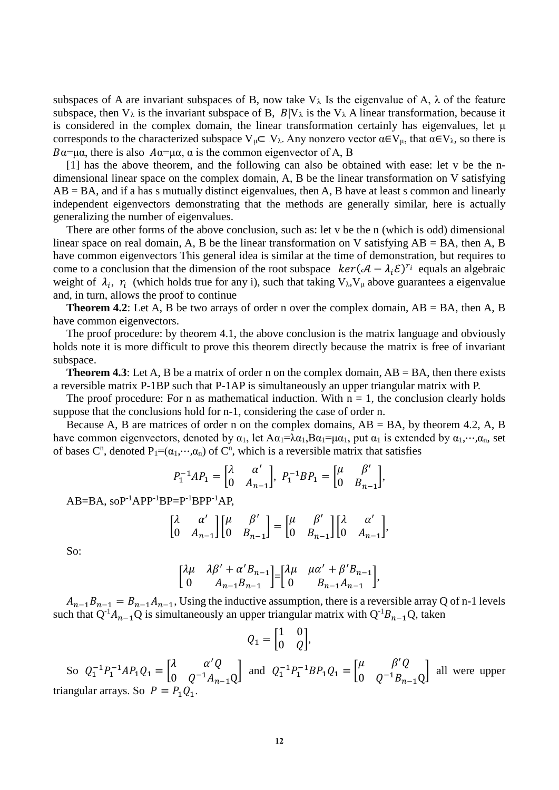subspaces of A are invariant subspaces of B, now take  $V_{\lambda}$  Is the eigenvalue of A,  $\lambda$  of the feature subspace, then  $V_\lambda$  is the invariant subspace of B,  $B|V_\lambda$  is the  $V_\lambda$  A linear transformation, because it is considered in the complex domain, the linear transformation certainly has eigenvalues, let μ corresponds to the characterized subspace  $V_{\mu}C V_{\lambda}$ . Any nonzero vector  $\alpha \in V_{\mu}$ , that  $\alpha \in V_{\lambda}$ , so there is  $B\alpha = \mu\alpha$ , there is also  $A\alpha = \mu\alpha$ ,  $\alpha$  is the common eigenvector of A, B

[1] has the above theorem, and the following can also be obtained with ease: let v be the ndimensional linear space on the complex domain, A, B be the linear transformation on V satisfying  $AB = BA$ , and if a has s mutually distinct eigenvalues, then A, B have at least s common and linearly independent eigenvectors demonstrating that the methods are generally similar, here is actually generalizing the number of eigenvalues.

There are other forms of the above conclusion, such as: let v be the n (which is odd) dimensional linear space on real domain, A, B be the linear transformation on V satisfying  $AB = BA$ , then A, B have common eigenvectors This general idea is similar at the time of demonstration, but requires to come to a conclusion that the dimension of the root subspace  $\ker((A - \lambda_i \mathcal{E})^{r_i})$  equals an algebraic weight of  $\lambda_i$ ,  $r_i$  (which holds true for any i), such that taking  $V_\lambda$ ,  $V_\mu$  above guarantees a eigenvalue and, in turn, allows the proof to continue

**Theorem 4.2**: Let A, B be two arrays of order n over the complex domain,  $AB = BA$ , then A, B have common eigenvectors.

The proof procedure: by theorem 4.1, the above conclusion is the matrix language and obviously holds note it is more difficult to prove this theorem directly because the matrix is free of invariant subspace.

**Theorem 4.3**: Let A, B be a matrix of order n on the complex domain,  $AB = BA$ , then there exists a reversible matrix P-1BP such that P-1AP is simultaneously an upper triangular matrix with P.

The proof procedure: For n as mathematical induction. With  $n = 1$ , the conclusion clearly holds suppose that the conclusions hold for n-1, considering the case of order n.

Because A, B are matrices of order n on the complex domains,  $AB = BA$ , by theorem 4.2, A, B have common eigenvectors, denoted by  $\alpha_1$ , let  $A\alpha_1=\lambda\alpha_1, B\alpha_1=\mu\alpha_1$ , put  $\alpha_1$  is extended by  $\alpha_1, \dots, \alpha_n$ , set of bases  $C^n$ , denoted  $P_1=(\alpha_1,\dots,\alpha_n)$  of  $C^n$ , which is a reversible matrix that satisfies

$$
P_1^{-1}AP_1 = \begin{bmatrix} \lambda & \alpha' \\ 0 & A_{n-1} \end{bmatrix}, P_1^{-1}BP_1 = \begin{bmatrix} \mu & \beta' \\ 0 & B_{n-1} \end{bmatrix},
$$

 $AB=BA$ ,  $soP^{-1}APP^{-1}BP = P^{-1}BPP^{-1}AP$ .

$$
\begin{bmatrix} \lambda & \alpha' \\ 0 & A_{n-1} \end{bmatrix} \begin{bmatrix} \mu & \beta' \\ 0 & B_{n-1} \end{bmatrix} = \begin{bmatrix} \mu & \beta' \\ 0 & B_{n-1} \end{bmatrix} \begin{bmatrix} \lambda & \alpha' \\ 0 & A_{n-1} \end{bmatrix},
$$

So:

$$
\begin{bmatrix} \lambda \mu & \lambda \beta' + \alpha' B_{n-1} \\ 0 & A_{n-1} B_{n-1} \end{bmatrix} = \begin{bmatrix} \lambda \mu & \mu \alpha' + \beta' B_{n-1} \\ 0 & B_{n-1} A_{n-1} \end{bmatrix},
$$

 $A_{n-1}B_{n-1} = B_{n-1}A_{n-1}$ , Using the inductive assumption, there is a reversible array Q of n-1 levels such that Q<sup>-1</sup> $A_{n-1}$ Q is simultaneously an upper triangular matrix with Q<sup>-1</sup> $B_{n-1}$ Q, taken

$$
Q_1 = \begin{bmatrix} 1 & 0 \\ 0 & Q \end{bmatrix},
$$

So  $Q_1^{-1}P_1^{-1}AP_1Q_1 =$  $\begin{bmatrix} \lambda & \alpha'Q \\ 0 & Q^{-1}A_{n-1}Q \end{bmatrix}$  and  $Q_1^{-1}P_1^{-1}BP_1Q_1 =$  $\mu$   $\beta'Q$  $\begin{bmatrix} 0 & 0 \\ 0 & Q^{-1}B_{n-1}Q \end{bmatrix}$  all were upper triangular arrays. So  $P = P_1 Q_1$ .